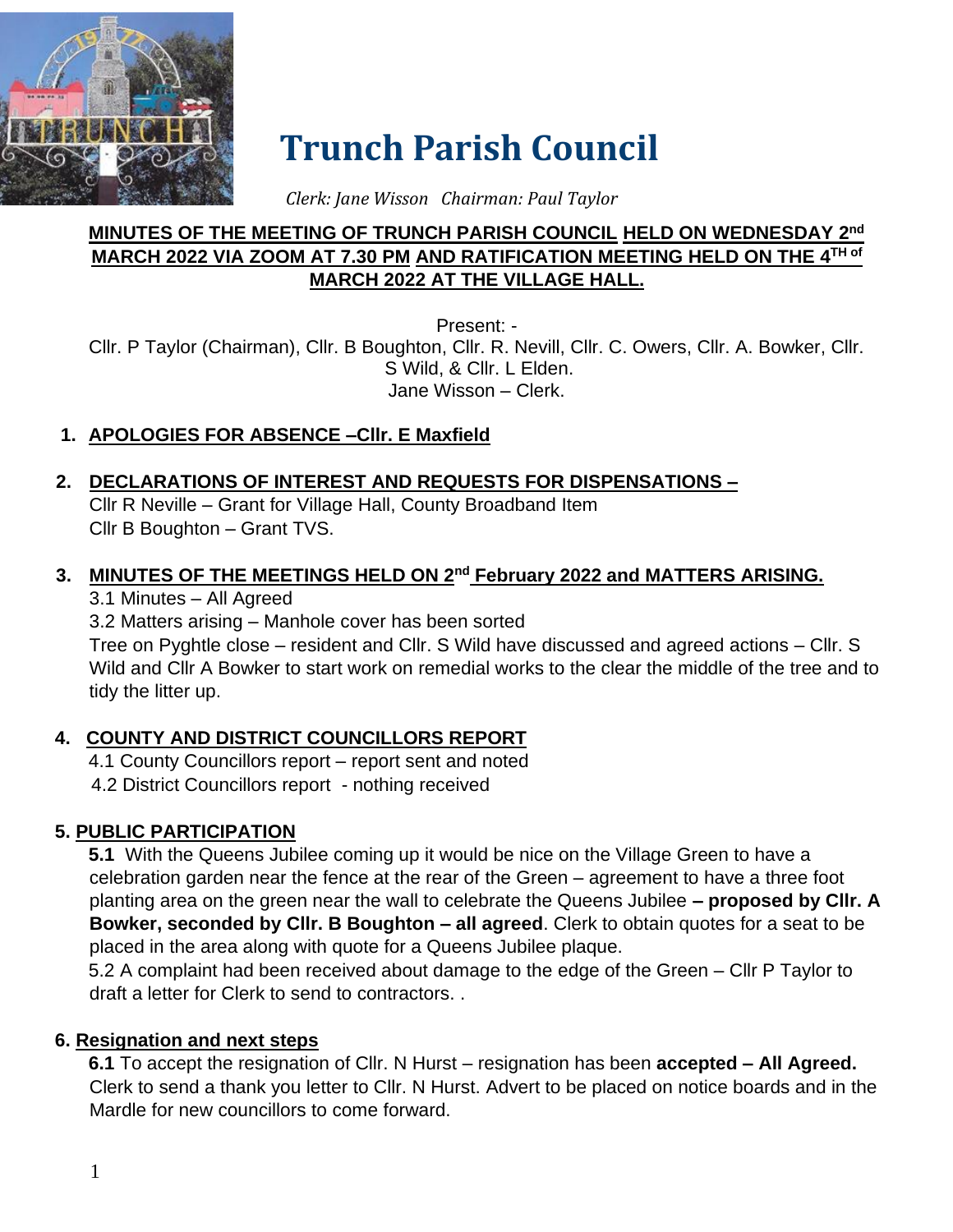

# **Trunch Parish Council**

 *Clerk: Jane Wisson Chairman: Paul Taylor*

#### **MINUTES OF THE MEETING OF TRUNCH PARISH COUNCIL HELD ON WEDNESDAY 2 nd MARCH 2022 VIA ZOOM AT 7.30 PM AND RATIFICATION MEETING HELD ON THE 4 TH of MARCH 2022 AT THE VILLAGE HALL.**

Present: - Cllr. P Taylor (Chairman), Cllr. B Boughton, Cllr. R. Nevill, Cllr. C. Owers, Cllr. A. Bowker, Cllr. S Wild, & Cllr. L Elden. Jane Wisson – Clerk.

# **1. APOLOGIES FOR ABSENCE –Cllr. E Maxfield**

## **2. DECLARATIONS OF INTEREST AND REQUESTS FOR DISPENSATIONS –**

Cllr R Neville – Grant for Village Hall, County Broadband Item Cllr B Boughton – Grant TVS.

#### **3. MINUTES OF THE MEETINGS HELD ON 2nd February 2022 and MATTERS ARISING.**

3.1 Minutes – All Agreed

3.2 Matters arising – Manhole cover has been sorted Tree on Pyghtle close – resident and Cllr. S Wild have discussed and agreed actions – Cllr. S Wild and Cllr A Bowker to start work on remedial works to the clear the middle of the tree and to tidy the litter up.

# **4. COUNTY AND DISTRICT COUNCILLORS REPORT**

4.1 County Councillors report – report sent and noted 4.2 District Councillors report - nothing received

## **5. PUBLIC PARTICIPATION**

**5.1** With the Queens Jubilee coming up it would be nice on the Village Green to have a celebration garden near the fence at the rear of the Green – agreement to have a three foot planting area on the green near the wall to celebrate the Queens Jubilee **– proposed by Cllr. A Bowker, seconded by Cllr. B Boughton – all agreed**. Clerk to obtain quotes for a seat to be placed in the area along with quote for a Queens Jubilee plaque.

5.2 A complaint had been received about damage to the edge of the Green – Cllr P Taylor to draft a letter for Clerk to send to contractors. .

#### **6. Resignation and next steps**

**6.1** To accept the resignation of Cllr. N Hurst – resignation has been **accepted – All Agreed.**  Clerk to send a thank you letter to Cllr. N Hurst. Advert to be placed on notice boards and in the Mardle for new councillors to come forward.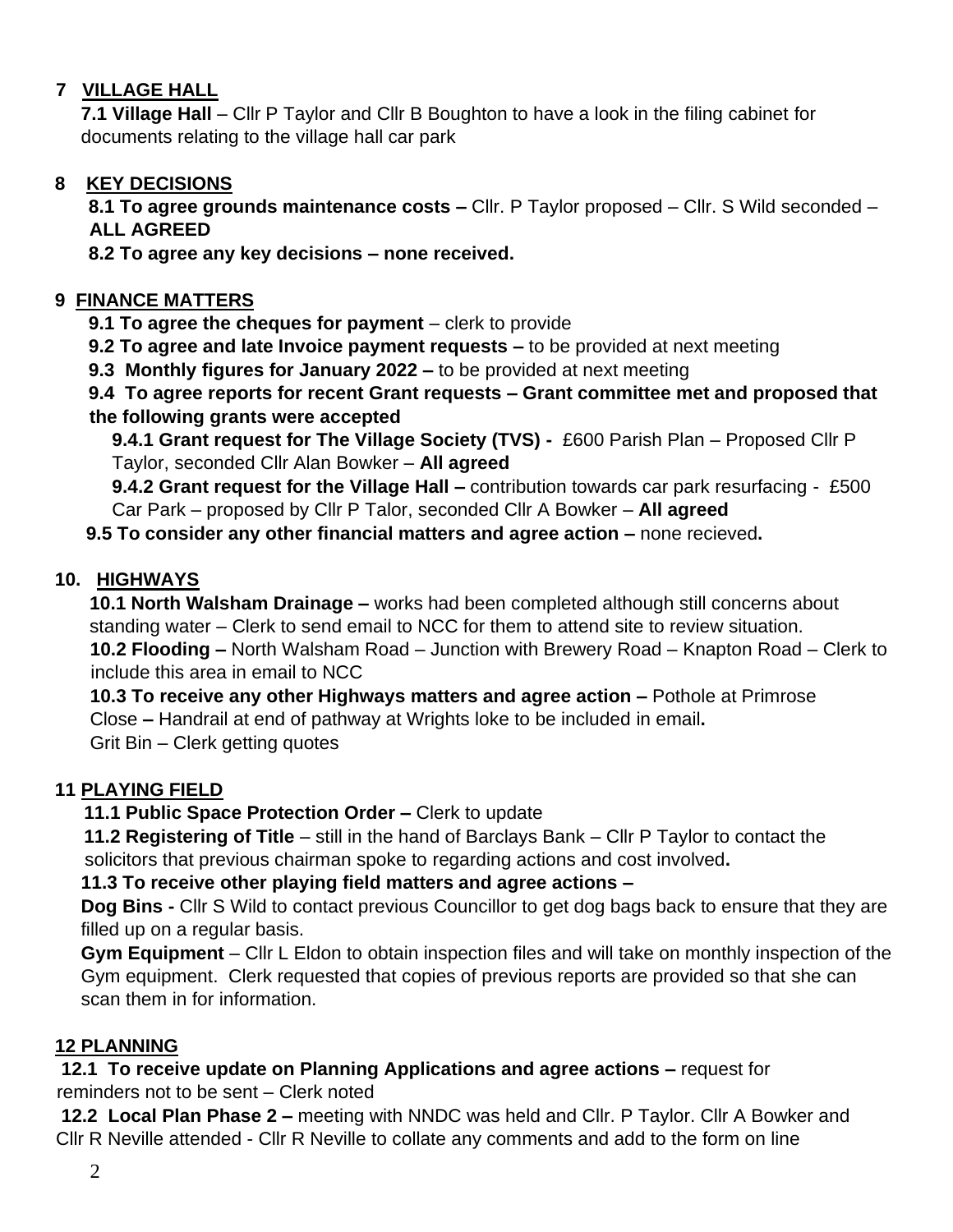## **7 VILLAGE HALL**

**7.1 Village Hall** – Cllr P Taylor and Cllr B Boughton to have a look in the filing cabinet for documents relating to the village hall car park

## **8 KEY DECISIONS**

**8.1 To agree grounds maintenance costs –** Cllr. P Taylor proposed – Cllr. S Wild seconded – **ALL AGREED**

**8.2 To agree any key decisions – none received.**

#### **9 FINANCE MATTERS**

**9.1 To agree the cheques for payment** – clerk to provide

**9.2 To agree and late Invoice payment requests –** to be provided at next meeting

**9.3 Monthly figures for January 2022 –** to be provided at next meeting

**9.4 To agree reports for recent Grant requests – Grant committee met and proposed that the following grants were accepted**

**9.4.1 Grant request for The Village Society (TVS) -** £600 Parish Plan – Proposed Cllr P Taylor, seconded Cllr Alan Bowker – **All agreed**

**9.4.2 Grant request for the Village Hall –** contribution towards car park resurfacing - £500 Car Park – proposed by Cllr P Talor, seconded Cllr A Bowker – **All agreed**

#### **9.5 To consider any other financial matters and agree action –** none recieved**.**

#### **10. HIGHWAYS**

**10.1 North Walsham Drainage –** works had been completed although still concerns about standing water – Clerk to send email to NCC for them to attend site to review situation. **10.2 Flooding –** North Walsham Road – Junction with Brewery Road – Knapton Road – Clerk to include this area in email to NCC

**10.3 To receive any other Highways matters and agree action –** Pothole at Primrose Close **–** Handrail at end of pathway at Wrights loke to be included in email**.**  Grit Bin – Clerk getting quotes

## **11 PLAYING FIELD**

**11.1 Public Space Protection Order –** Clerk to update

**11.2 Registering of Title** – still in the hand of Barclays Bank – Cllr P Taylor to contact the solicitors that previous chairman spoke to regarding actions and cost involved**.** 

**11.3 To receive other playing field matters and agree actions –**

**Dog Bins -** Cllr S Wild to contact previous Councillor to get dog bags back to ensure that they are filled up on a regular basis.

**Gym Equipment** – Cllr L Eldon to obtain inspection files and will take on monthly inspection of the Gym equipment. Clerk requested that copies of previous reports are provided so that she can scan them in for information.

## **12 PLANNING**

**12.1 To receive update on Planning Applications and agree actions –** request for reminders not to be sent – Clerk noted

**12.2 Local Plan Phase 2 –** meeting with NNDC was held and Cllr. P Taylor. Cllr A Bowker and Cllr R Neville attended - Cllr R Neville to collate any comments and add to the form on line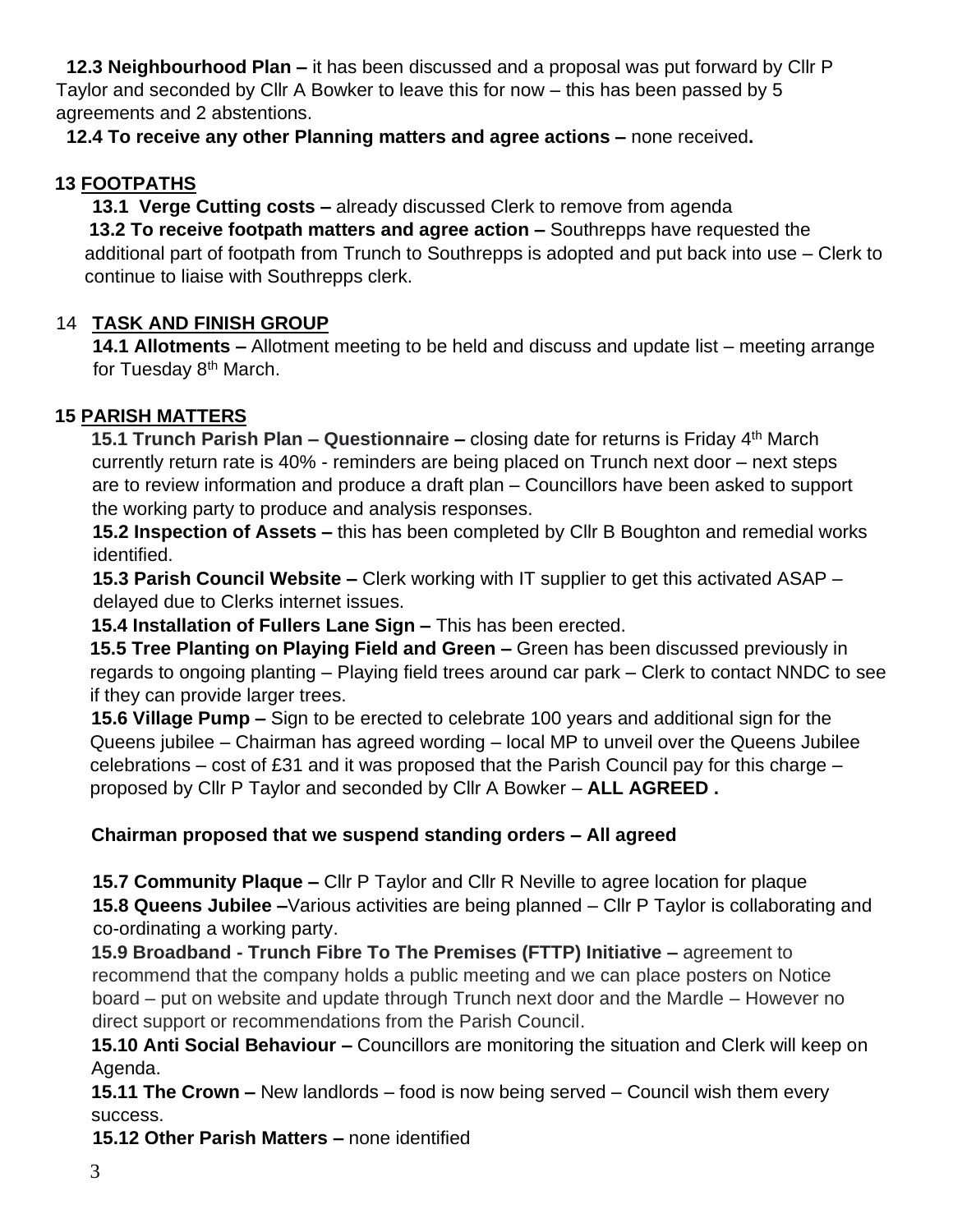**12.3 Neighbourhood Plan –** it has been discussed and a proposal was put forward by Cllr P Taylor and seconded by Cllr A Bowker to leave this for now – this has been passed by 5 agreements and 2 abstentions.

 **12.4 To receive any other Planning matters and agree actions –** none received**.** 

## **13 FOOTPATHS**

**13.1 Verge Cutting costs –** already discussed Clerk to remove from agenda

**13.2 To receive footpath matters and agree action –** Southrepps have requested the additional part of footpath from Trunch to Southrepps is adopted and put back into use – Clerk to continue to liaise with Southrepps clerk.

# 14 **TASK AND FINISH GROUP**

**14.1 Allotments –** Allotment meeting to be held and discuss and update list – meeting arrange for Tuesday 8<sup>th</sup> March.

## **15 PARISH MATTERS**

**15.1 Trunch Parish Plan – Questionnaire –** closing date for returns is Friday 4 th March currently return rate is 40% - reminders are being placed on Trunch next door – next steps are to review information and produce a draft plan – Councillors have been asked to support the working party to produce and analysis responses.

**15.2 Inspection of Assets –** this has been completed by Cllr B Boughton and remedial works identified.

**15.3 Parish Council Website –** Clerk working with IT supplier to get this activated ASAP – delayed due to Clerks internet issues.

 **15.4 Installation of Fullers Lane Sign –** This has been erected.

**15.5 Tree Planting on Playing Field and Green –** Green has been discussed previously in regards to ongoing planting – Playing field trees around car park – Clerk to contact NNDC to see if they can provide larger trees.

**15.6 Village Pump –** Sign to be erected to celebrate 100 years and additional sign for the Queens jubilee – Chairman has agreed wording – local MP to unveil over the Queens Jubilee celebrations – cost of £31 and it was proposed that the Parish Council pay for this charge – proposed by Cllr P Taylor and seconded by Cllr A Bowker – **ALL AGREED .** 

# **Chairman proposed that we suspend standing orders – All agreed**

**15.7 Community Plaque –** Cllr P Taylor and Cllr R Neville to agree location for plaque **15.8 Queens Jubilee –**Various activities are being planned – Cllr P Taylor is collaborating and co-ordinating a working party.

**15.9 Broadband - Trunch Fibre To The Premises (FTTP) Initiative –** agreement to recommend that the company holds a public meeting and we can place posters on Notice board – put on website and update through Trunch next door and the Mardle – However no direct support or recommendations from the Parish Council.

**15.10 Anti Social Behaviour –** Councillors are monitoring the situation and Clerk will keep on Agenda.

**15.11 The Crown –** New landlords – food is now being served – Council wish them every success.

**15.12 Other Parish Matters –** none identified